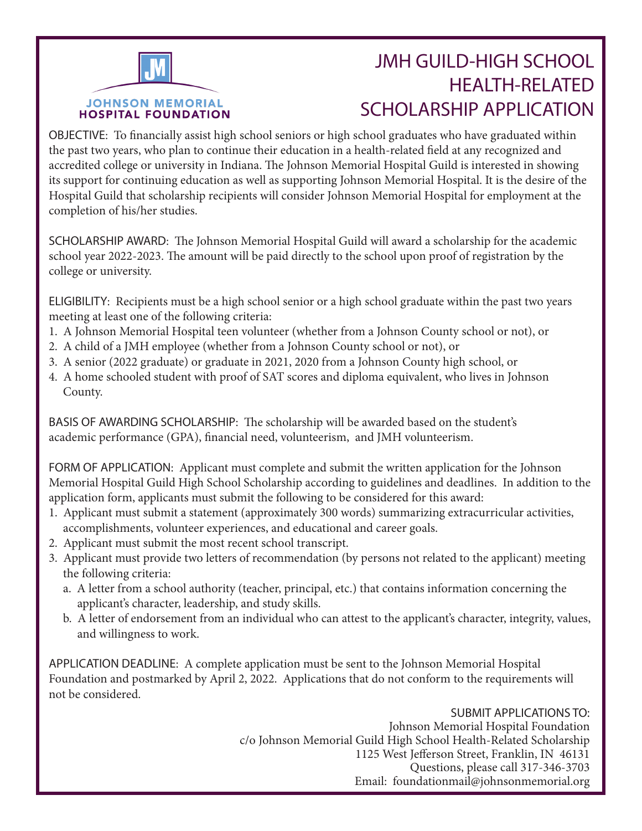## **JOHNSON MEMORIAL HOSPITAL FOUNDATION**

## JMH GUILD-HIGH SCHOOL HEALTH-RELATED SCHOLARSHIP APPLICATION

OBJECTIVE: To financially assist high school seniors or high school graduates who have graduated within the past two years, who plan to continue their education in a health-related field at any recognized and accredited college or university in Indiana. The Johnson Memorial Hospital Guild is interested in showing its support for continuing education as well as supporting Johnson Memorial Hospital. It is the desire of the Hospital Guild that scholarship recipients will consider Johnson Memorial Hospital for employment at the completion of his/her studies.

SCHOLARSHIP AWARD: The Johnson Memorial Hospital Guild will award a scholarship for the academic school year 2022-2023. The amount will be paid directly to the school upon proof of registration by the college or university.

ELIGIBILITY: Recipients must be a high school senior or a high school graduate within the past two years meeting at least one of the following criteria:

- 1. A Johnson Memorial Hospital teen volunteer (whether from a Johnson County school or not), or
- 2. A child of a JMH employee (whether from a Johnson County school or not), or
- 3. A senior (2022 graduate) or graduate in 2021, 2020 from a Johnson County high school, or
- 4. A home schooled student with proof of SAT scores and diploma equivalent, who lives in Johnson County.

BASIS OF AWARDING SCHOLARSHIP: The scholarship will be awarded based on the student's academic performance (GPA), financial need, volunteerism, and JMH volunteerism.

FORM OF APPLICATION: Applicant must complete and submit the written application for the Johnson Memorial Hospital Guild High School Scholarship according to guidelines and deadlines. In addition to the application form, applicants must submit the following to be considered for this award:

- 1. Applicant must submit a statement (approximately 300 words) summarizing extracurricular activities, accomplishments, volunteer experiences, and educational and career goals.
- 2. Applicant must submit the most recent school transcript.
- 3. Applicant must provide two letters of recommendation (by persons not related to the applicant) meeting the following criteria:
	- a. A letter from a school authority (teacher, principal, etc.) that contains information concerning the applicant's character, leadership, and study skills.
	- b. A letter of endorsement from an individual who can attest to the applicant's character, integrity, values, and willingness to work.

APPLICATION DEADLINE: A complete application must be sent to the Johnson Memorial Hospital Foundation and postmarked by April 2, 2022. Applications that do not conform to the requirements will not be considered.

> SUBMIT APPLICATIONS TO: Johnson Memorial Hospital Foundation c/o Johnson Memorial Guild High School Health-Related Scholarship 1125 West Jefferson Street, Franklin, IN 46131 Questions, please call 317-346-3703 Email: foundationmail@johnsonmemorial.org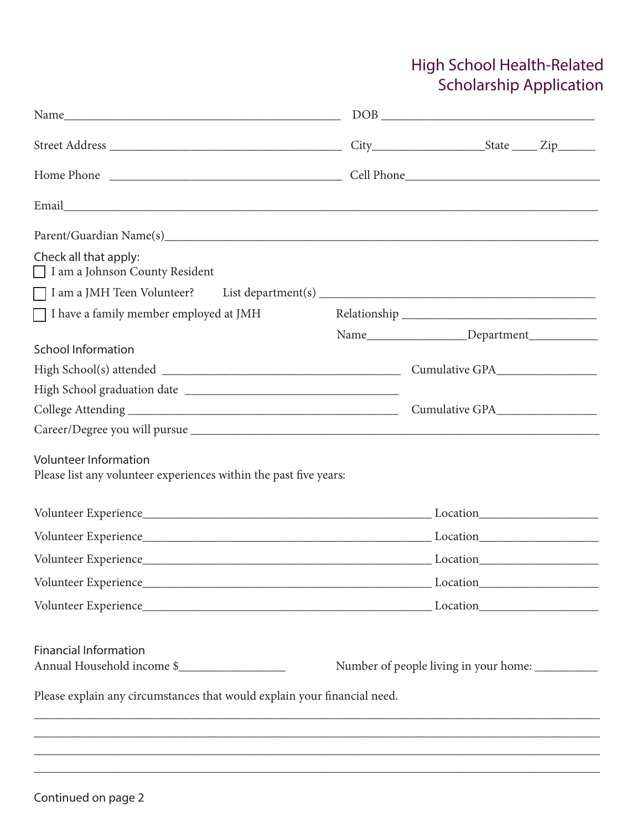## High School Health-Related Scholarship Application

|                                                                                                   | $\begin{tabular}{ c c c c } \hline \multicolumn{3}{ c }{\text{DOB}} \end{tabular}$ |
|---------------------------------------------------------------------------------------------------|------------------------------------------------------------------------------------|
|                                                                                                   |                                                                                    |
|                                                                                                   |                                                                                    |
|                                                                                                   |                                                                                    |
|                                                                                                   |                                                                                    |
| Check all that apply:<br>I am a Johnson County Resident                                           |                                                                                    |
|                                                                                                   |                                                                                    |
| $\Box$ I have a family member employed at JMH                                                     |                                                                                    |
|                                                                                                   |                                                                                    |
| <b>School Information</b>                                                                         |                                                                                    |
|                                                                                                   |                                                                                    |
|                                                                                                   |                                                                                    |
|                                                                                                   |                                                                                    |
|                                                                                                   |                                                                                    |
| <b>Volunteer Information</b><br>Please list any volunteer experiences within the past five years: |                                                                                    |
|                                                                                                   |                                                                                    |
|                                                                                                   |                                                                                    |
|                                                                                                   |                                                                                    |
|                                                                                                   |                                                                                    |
|                                                                                                   |                                                                                    |
| <b>Financial Information</b><br>Annual Household income \$                                        | Number of people living in your home: ___________                                  |
| Please explain any circumstances that would explain your financial need.                          |                                                                                    |
|                                                                                                   |                                                                                    |

\_\_\_\_\_\_\_\_\_\_\_\_\_\_\_\_\_\_\_\_\_\_\_\_\_\_\_\_\_\_\_\_\_\_\_\_\_\_\_\_\_\_\_\_\_\_\_\_\_\_\_\_\_\_\_\_\_\_\_\_\_\_\_\_\_\_\_\_\_\_\_\_\_\_\_\_\_\_\_\_\_\_\_\_\_\_\_\_\_\_ \_\_\_\_\_\_\_\_\_\_\_\_\_\_\_\_\_\_\_\_\_\_\_\_\_\_\_\_\_\_\_\_\_\_\_\_\_\_\_\_\_\_\_\_\_\_\_\_\_\_\_\_\_\_\_\_\_\_\_\_\_\_\_\_\_\_\_\_\_\_\_\_\_\_\_\_\_\_\_\_\_\_\_\_\_\_\_\_\_\_